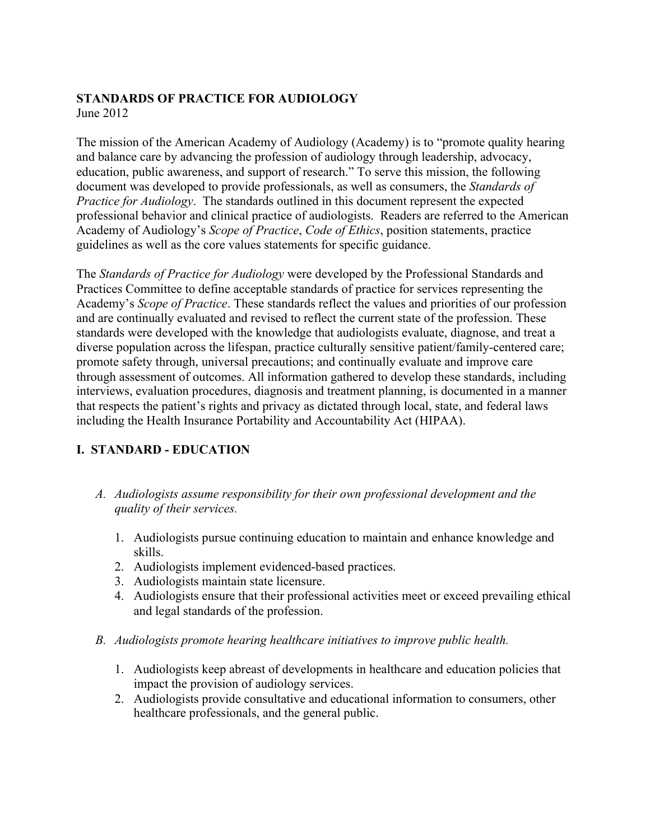# **STANDARDS OF PRACTICE FOR AUDIOLOGY**

June 2012

The mission of the American Academy of Audiology (Academy) is to "promote quality hearing and balance care by advancing the profession of audiology through leadership, advocacy, education, public awareness, and support of research." To serve this mission, the following document was developed to provide professionals, as well as consumers, the *Standards of Practice for Audiology*. The standards outlined in this document represent the expected professional behavior and clinical practice of audiologists. Readers are referred to the American Academy of Audiology's *Scope of Practice*, *Code of Ethics*, position statements, practice guidelines as well as the core values statements for specific guidance.

The *Standards of Practice for Audiology* were developed by the Professional Standards and Practices Committee to define acceptable standards of practice for services representing the Academy's *Scope of Practice*. These standards reflect the values and priorities of our profession and are continually evaluated and revised to reflect the current state of the profession. These standards were developed with the knowledge that audiologists evaluate, diagnose, and treat a diverse population across the lifespan, practice culturally sensitive patient/family-centered care; promote safety through, universal precautions; and continually evaluate and improve care through assessment of outcomes. All information gathered to develop these standards, including interviews, evaluation procedures, diagnosis and treatment planning, is documented in a manner that respects the patient's rights and privacy as dictated through local, state, and federal laws including the Health Insurance Portability and Accountability Act (HIPAA).

## **I. STANDARD - EDUCATION**

- *A. Audiologists assume responsibility for their own professional development and the quality of their services.*
	- 1. Audiologists pursue continuing education to maintain and enhance knowledge and skills.
	- 2. Audiologists implement evidenced-based practices.
	- 3. Audiologists maintain state licensure.
	- 4. Audiologists ensure that their professional activities meet or exceed prevailing ethical and legal standards of the profession.
- *B. Audiologists promote hearing healthcare initiatives to improve public health.*
	- 1. Audiologists keep abreast of developments in healthcare and education policies that impact the provision of audiology services.
	- 2. Audiologists provide consultative and educational information to consumers, other healthcare professionals, and the general public.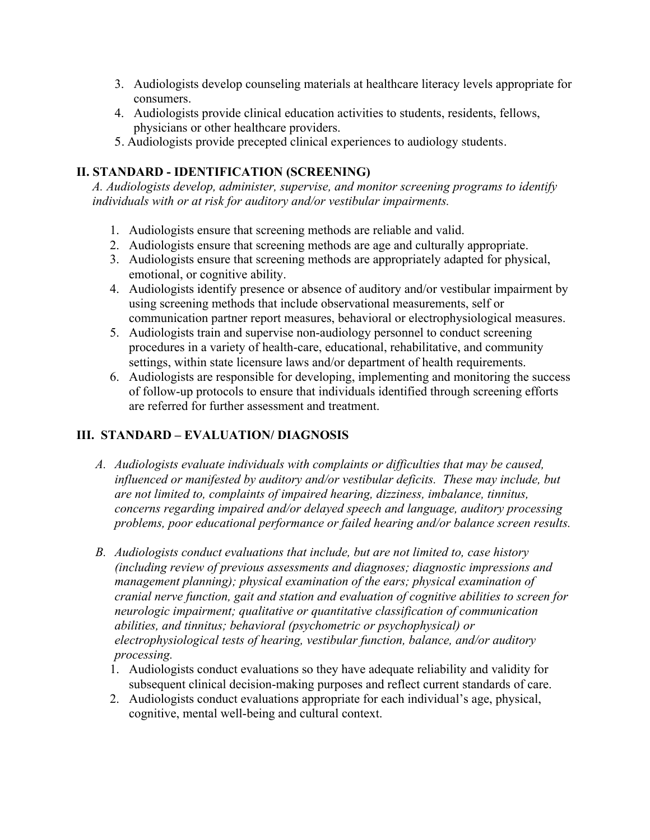- 3. Audiologists develop counseling materials at healthcare literacy levels appropriate for consumers.
- 4. Audiologists provide clinical education activities to students, residents, fellows, physicians or other healthcare providers.
- 5. Audiologists provide precepted clinical experiences to audiology students.

## **II. STANDARD - IDENTIFICATION (SCREENING)**

*A. Audiologists develop, administer, supervise, and monitor screening programs to identify individuals with or at risk for auditory and/or vestibular impairments.*

- 1. Audiologists ensure that screening methods are reliable and valid.
- 2. Audiologists ensure that screening methods are age and culturally appropriate.
- 3. Audiologists ensure that screening methods are appropriately adapted for physical, emotional, or cognitive ability.
- 4. Audiologists identify presence or absence of auditory and/or vestibular impairment by using screening methods that include observational measurements, self or communication partner report measures, behavioral or electrophysiological measures.
- 5. Audiologists train and supervise non-audiology personnel to conduct screening procedures in a variety of health-care, educational, rehabilitative, and community settings, within state licensure laws and/or department of health requirements.
- 6. Audiologists are responsible for developing, implementing and monitoring the success of follow-up protocols to ensure that individuals identified through screening efforts are referred for further assessment and treatment.

## **III. STANDARD – EVALUATION/ DIAGNOSIS**

- *A. Audiologists evaluate individuals with complaints or difficulties that may be caused, influenced or manifested by auditory and/or vestibular deficits. These may include, but are not limited to, complaints of impaired hearing, dizziness, imbalance, tinnitus, concerns regarding impaired and/or delayed speech and language, auditory processing problems, poor educational performance or failed hearing and/or balance screen results.*
- *B. Audiologists conduct evaluations that include, but are not limited to, case history (including review of previous assessments and diagnoses; diagnostic impressions and management planning); physical examination of the ears; physical examination of cranial nerve function, gait and station and evaluation of cognitive abilities to screen for neurologic impairment; qualitative or quantitative classification of communication abilities, and tinnitus; behavioral (psychometric or psychophysical) or electrophysiological tests of hearing, vestibular function, balance, and/or auditory processing.*
	- 1. Audiologists conduct evaluations so they have adequate reliability and validity for subsequent clinical decision-making purposes and reflect current standards of care.
	- 2. Audiologists conduct evaluations appropriate for each individual's age, physical, cognitive, mental well-being and cultural context.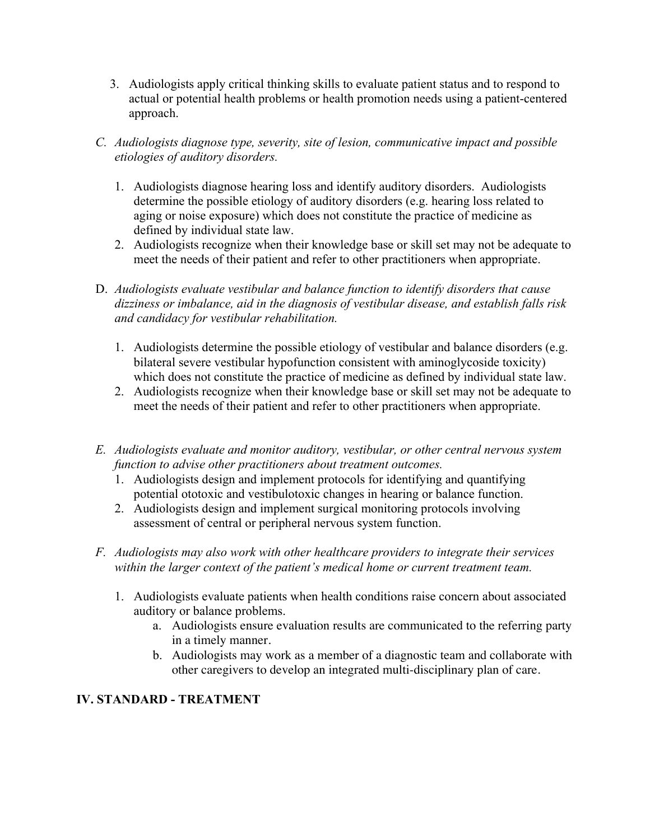- 3. Audiologists apply critical thinking skills to evaluate patient status and to respond to actual or potential health problems or health promotion needs using a patient-centered approach.
- *C. Audiologists diagnose type, severity, site of lesion, communicative impact and possible etiologies of auditory disorders.*
	- 1. Audiologists diagnose hearing loss and identify auditory disorders. Audiologists determine the possible etiology of auditory disorders (e.g. hearing loss related to aging or noise exposure) which does not constitute the practice of medicine as defined by individual state law.
	- 2. Audiologists recognize when their knowledge base or skill set may not be adequate to meet the needs of their patient and refer to other practitioners when appropriate.
- D. *Audiologists evaluate vestibular and balance function to identify disorders that cause dizziness or imbalance, aid in the diagnosis of vestibular disease, and establish falls risk and candidacy for vestibular rehabilitation.*
	- 1. Audiologists determine the possible etiology of vestibular and balance disorders (e.g. bilateral severe vestibular hypofunction consistent with aminoglycoside toxicity) which does not constitute the practice of medicine as defined by individual state law.
	- 2. Audiologists recognize when their knowledge base or skill set may not be adequate to meet the needs of their patient and refer to other practitioners when appropriate.
- *E. Audiologists evaluate and monitor auditory, vestibular, or other central nervous system function to advise other practitioners about treatment outcomes.*
	- 1. Audiologists design and implement protocols for identifying and quantifying potential ototoxic and vestibulotoxic changes in hearing or balance function.
	- 2. Audiologists design and implement surgical monitoring protocols involving assessment of central or peripheral nervous system function.
- *F. Audiologists may also work with other healthcare providers to integrate their services within the larger context of the patient's medical home or current treatment team.*
	- 1. Audiologists evaluate patients when health conditions raise concern about associated auditory or balance problems.
		- a. Audiologists ensure evaluation results are communicated to the referring party in a timely manner.
		- b. Audiologists may work as a member of a diagnostic team and collaborate with other caregivers to develop an integrated multi-disciplinary plan of care.

## **IV. STANDARD - TREATMENT**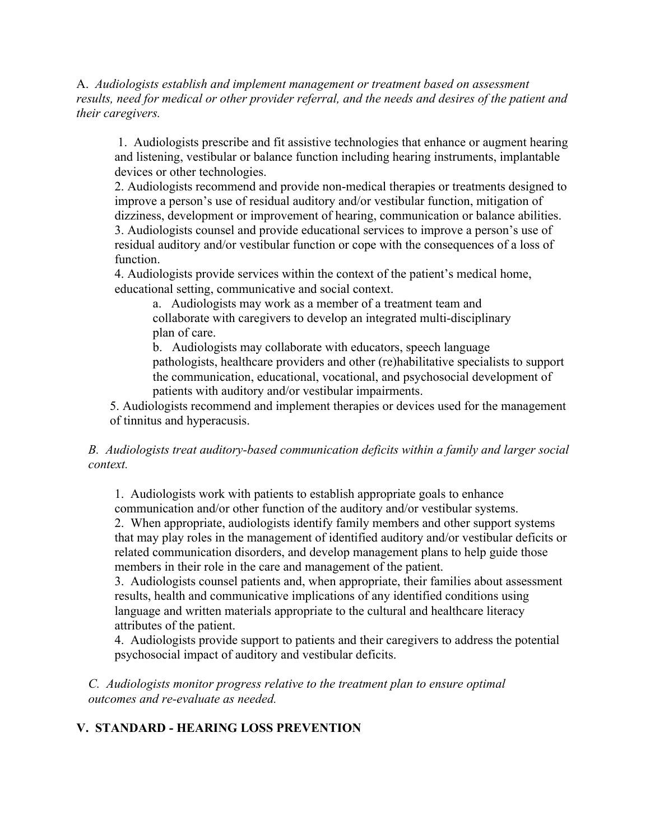A. *Audiologists establish and implement management or treatment based on assessment results, need for medical or other provider referral, and the needs and desires of the patient and their caregivers.*

1. Audiologists prescribe and fit assistive technologies that enhance or augment hearing and listening, vestibular or balance function including hearing instruments, implantable devices or other technologies.

2. Audiologists recommend and provide non-medical therapies or treatments designed to improve a person's use of residual auditory and/or vestibular function, mitigation of dizziness, development or improvement of hearing, communication or balance abilities. 3. Audiologists counsel and provide educational services to improve a person's use of residual auditory and/or vestibular function or cope with the consequences of a loss of function.

4. Audiologists provide services within the context of the patient's medical home, educational setting, communicative and social context.

a. Audiologists may work as a member of a treatment team and collaborate with caregivers to develop an integrated multi-disciplinary plan of care.

b. Audiologists may collaborate with educators, speech language pathologists, healthcare providers and other (re)habilitative specialists to support the communication, educational, vocational, and psychosocial development of patients with auditory and/or vestibular impairments.

5. Audiologists recommend and implement therapies or devices used for the management of tinnitus and hyperacusis.

#### *B. Audiologists treat auditory-based communication deficits within a family and larger social context.*

1. Audiologists work with patients to establish appropriate goals to enhance communication and/or other function of the auditory and/or vestibular systems.

2. When appropriate, audiologists identify family members and other support systems that may play roles in the management of identified auditory and/or vestibular deficits or related communication disorders, and develop management plans to help guide those members in their role in the care and management of the patient.

3. Audiologists counsel patients and, when appropriate, their families about assessment results, health and communicative implications of any identified conditions using language and written materials appropriate to the cultural and healthcare literacy attributes of the patient.

4. Audiologists provide support to patients and their caregivers to address the potential psychosocial impact of auditory and vestibular deficits.

*C. Audiologists monitor progress relative to the treatment plan to ensure optimal outcomes and re-evaluate as needed.*

### **V. STANDARD - HEARING LOSS PREVENTION**